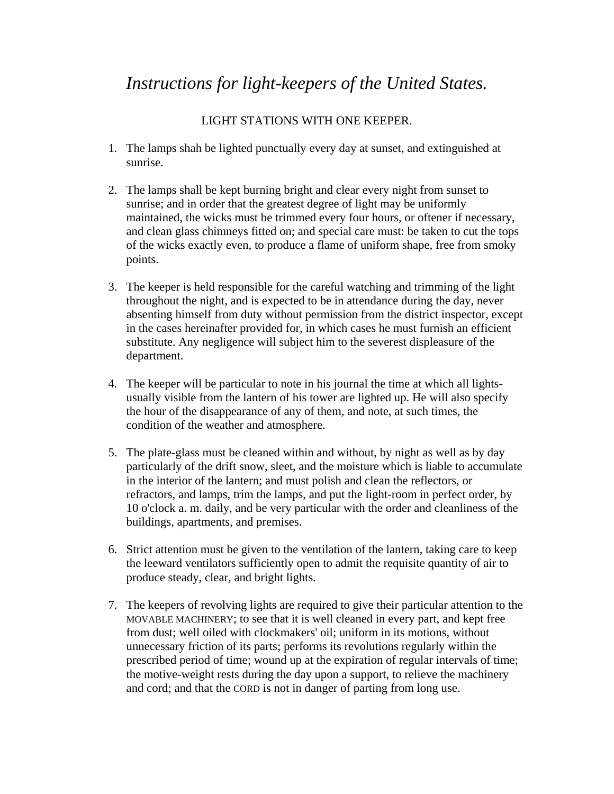## *Instructions for light-keepers of the United States.*

## LIGHT STATIONS WITH ONE KEEPER.

- 1. The lamps shah be lighted punctually every day at sunset, and extinguished at sunrise.
- 2. The lamps shall be kept burning bright and clear every night from sunset to sunrise; and in order that the greatest degree of light may be uniformly maintained, the wicks must be trimmed every four hours, or oftener if necessary, and clean glass chimneys fitted on; and special care must: be taken to cut the tops of the wicks exactly even, to produce a flame of uniform shape, free from smoky points.
- 3. The keeper is held responsible for the careful watching and trimming of the light throughout the night, and is expected to be in attendance during the day, never absenting himself from duty without permission from the district inspector, except in the cases hereinafter provided for, in which cases he must furnish an efficient substitute. Any negligence will subject him to the severest displeasure of the department.
- 4. The keeper will be particular to note in his journal the time at which all lightsusually visible from the lantern of his tower are lighted up. He will also specify the hour of the disappearance of any of them, and note, at such times, the condition of the weather and atmosphere.
- 5. The plate-glass must be cleaned within and without, by night as well as by day particularly of the drift snow, sleet, and the moisture which is liable to accumulate in the interior of the lantern; and must polish and clean the reflectors, or refractors, and lamps, trim the lamps, and put the light-room in perfect order, by 10 o'clock a. m. daily, and be very particular with the order and cleanliness of the buildings, apartments, and premises.
- 6. Strict attention must be given to the ventilation of the lantern, taking care to keep the leeward ventilators sufficiently open to admit the requisite quantity of air to produce steady, clear, and bright lights.
- 7. The keepers of revolving lights are required to give their particular attention to the MOVABLE MACHINERY; to see that it is well cleaned in every part, and kept free from dust; well oiled with clockmakers' oil; uniform in its motions, without unnecessary friction of its parts; performs its revolutions regularly within the prescribed period of time; wound up at the expiration of regular intervals of time; the motive-weight rests during the day upon a support, to relieve the machinery and cord; and that the CORD is not in danger of parting from long use.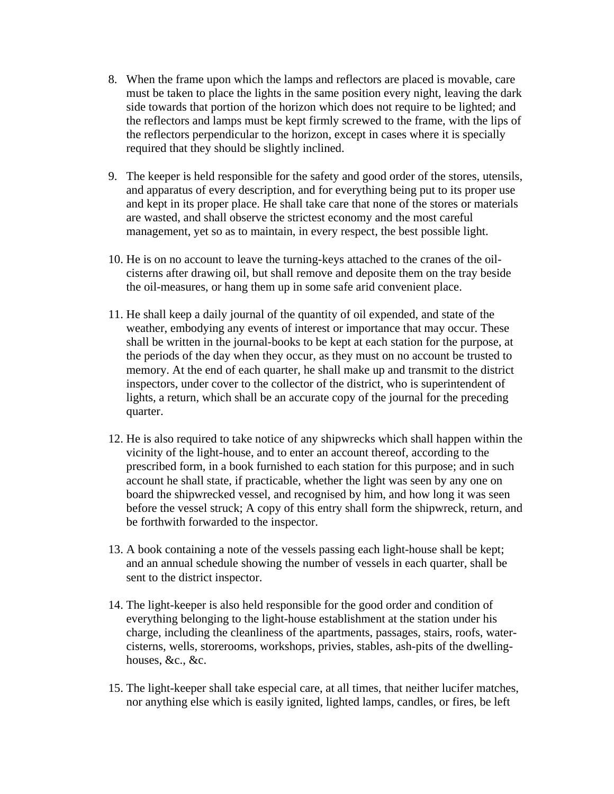- 8. When the frame upon which the lamps and reflectors are placed is movable, care must be taken to place the lights in the same position every night, leaving the dark side towards that portion of the horizon which does not require to be lighted; and the reflectors and lamps must be kept firmly screwed to the frame, with the lips of the reflectors perpendicular to the horizon, except in cases where it is specially required that they should be slightly inclined.
- 9. The keeper is held responsible for the safety and good order of the stores, utensils, and apparatus of every description, and for everything being put to its proper use and kept in its proper place. He shall take care that none of the stores or materials are wasted, and shall observe the strictest economy and the most careful management, yet so as to maintain, in every respect, the best possible light.
- 10. He is on no account to leave the turning-keys attached to the cranes of the oilcisterns after drawing oil, but shall remove and deposite them on the tray beside the oil-measures, or hang them up in some safe arid convenient place.
- 11. He shall keep a daily journal of the quantity of oil expended, and state of the weather, embodying any events of interest or importance that may occur. These shall be written in the journal-books to be kept at each station for the purpose, at the periods of the day when they occur, as they must on no account be trusted to memory. At the end of each quarter, he shall make up and transmit to the district inspectors, under cover to the collector of the district, who is superintendent of lights, a return, which shall be an accurate copy of the journal for the preceding quarter.
- 12. He is also required to take notice of any shipwrecks which shall happen within the vicinity of the light-house, and to enter an account thereof, according to the prescribed form, in a book furnished to each station for this purpose; and in such account he shall state, if practicable, whether the light was seen by any one on board the shipwrecked vessel, and recognised by him, and how long it was seen before the vessel struck; A copy of this entry shall form the shipwreck, return, and be forthwith forwarded to the inspector.
- 13. A book containing a note of the vessels passing each light-house shall be kept; and an annual schedule showing the number of vessels in each quarter, shall be sent to the district inspector.
- 14. The light-keeper is also held responsible for the good order and condition of everything belonging to the light-house establishment at the station under his charge, including the cleanliness of the apartments, passages, stairs, roofs, watercisterns, wells, storerooms, workshops, privies, stables, ash-pits of the dwellinghouses, &c., &c.
- 15. The light-keeper shall take especial care, at all times, that neither lucifer matches, nor anything else which is easily ignited, lighted lamps, candles, or fires, be left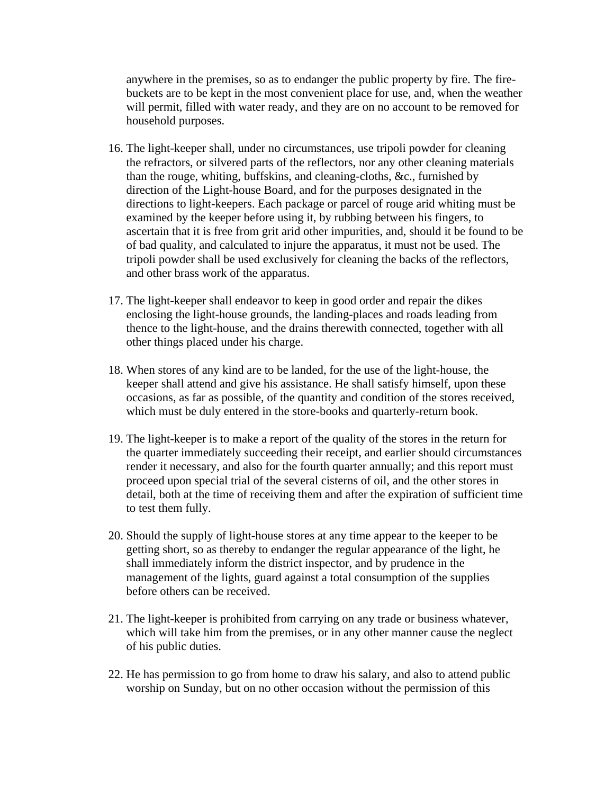anywhere in the premises, so as to endanger the public property by fire. The firebuckets are to be kept in the most convenient place for use, and, when the weather will permit, filled with water ready, and they are on no account to be removed for household purposes.

- 16. The light-keeper shall, under no circumstances, use tripoli powder for cleaning the refractors, or silvered parts of the reflectors, nor any other cleaning materials than the rouge, whiting, buffskins, and cleaning-cloths, &c., furnished by direction of the Light-house Board, and for the purposes designated in the directions to light-keepers. Each package or parcel of rouge arid whiting must be examined by the keeper before using it, by rubbing between his fingers, to ascertain that it is free from grit arid other impurities, and, should it be found to be of bad quality, and calculated to injure the apparatus, it must not be used. The tripoli powder shall be used exclusively for cleaning the backs of the reflectors, and other brass work of the apparatus.
- 17. The light-keeper shall endeavor to keep in good order and repair the dikes enclosing the light-house grounds, the landing-places and roads leading from thence to the light-house, and the drains therewith connected, together with all other things placed under his charge.
- 18. When stores of any kind are to be landed, for the use of the light-house, the keeper shall attend and give his assistance. He shall satisfy himself, upon these occasions, as far as possible, of the quantity and condition of the stores received, which must be duly entered in the store-books and quarterly-return book.
- 19. The light-keeper is to make a report of the quality of the stores in the return for the quarter immediately succeeding their receipt, and earlier should circumstances render it necessary, and also for the fourth quarter annually; and this report must proceed upon special trial of the several cisterns of oil, and the other stores in detail, both at the time of receiving them and after the expiration of sufficient time to test them fully.
- 20. Should the supply of light-house stores at any time appear to the keeper to be getting short, so as thereby to endanger the regular appearance of the light, he shall immediately inform the district inspector, and by prudence in the management of the lights, guard against a total consumption of the supplies before others can be received.
- 21. The light-keeper is prohibited from carrying on any trade or business whatever, which will take him from the premises, or in any other manner cause the neglect of his public duties.
- 22. He has permission to go from home to draw his salary, and also to attend public worship on Sunday, but on no other occasion without the permission of this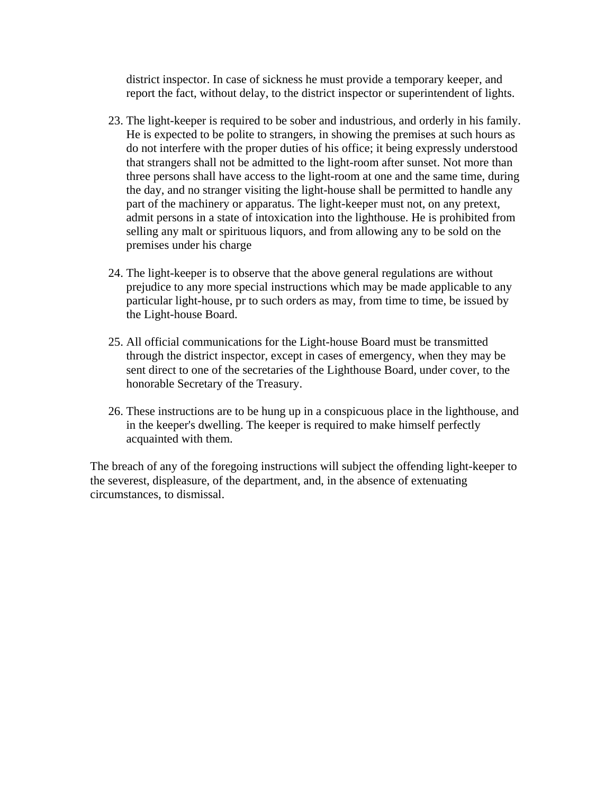district inspector. In case of sickness he must provide a temporary keeper, and report the fact, without delay, to the district inspector or superintendent of lights.

- 23. The light-keeper is required to be sober and industrious, and orderly in his family. He is expected to be polite to strangers, in showing the premises at such hours as do not interfere with the proper duties of his office; it being expressly understood that strangers shall not be admitted to the light-room after sunset. Not more than three persons shall have access to the light-room at one and the same time, during the day, and no stranger visiting the light-house shall be permitted to handle any part of the machinery or apparatus. The light-keeper must not, on any pretext, admit persons in a state of intoxication into the lighthouse. He is prohibited from selling any malt or spirituous liquors, and from allowing any to be sold on the premises under his charge
- 24. The light-keeper is to observe that the above general regulations are without prejudice to any more special instructions which may be made applicable to any particular light-house, pr to such orders as may, from time to time, be issued by the Light-house Board.
- 25. All official communications for the Light-house Board must be transmitted through the district inspector, except in cases of emergency, when they may be sent direct to one of the secretaries of the Lighthouse Board, under cover, to the honorable Secretary of the Treasury.
- 26. These instructions are to be hung up in a conspicuous place in the lighthouse, and in the keeper's dwelling. The keeper is required to make himself perfectly acquainted with them.

The breach of any of the foregoing instructions will subject the offending light-keeper to the severest, displeasure, of the department, and, in the absence of extenuating circumstances, to dismissal.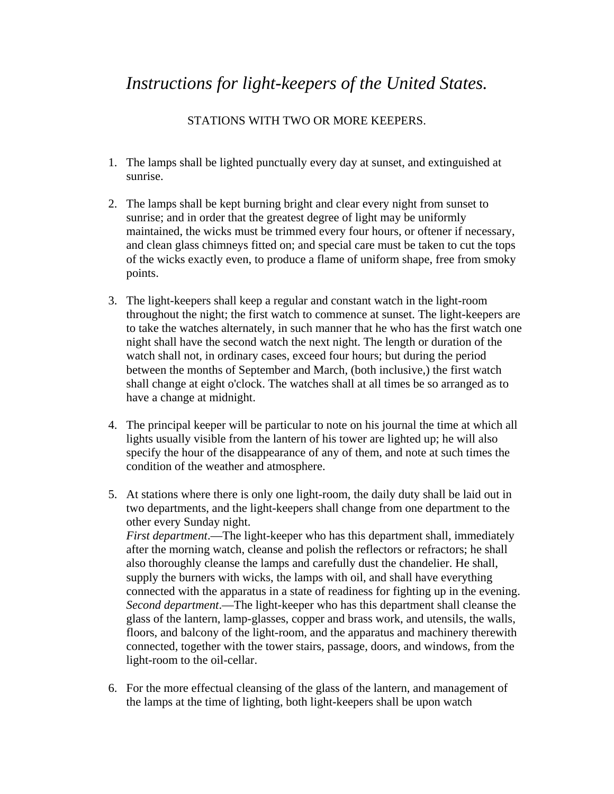## *Instructions for light-keepers of the United States.*

## STATIONS WITH TWO OR MORE KEEPERS.

- 1. The lamps shall be lighted punctually every day at sunset, and extinguished at sunrise.
- 2. The lamps shall be kept burning bright and clear every night from sunset to sunrise; and in order that the greatest degree of light may be uniformly maintained, the wicks must be trimmed every four hours, or oftener if necessary, and clean glass chimneys fitted on; and special care must be taken to cut the tops of the wicks exactly even, to produce a flame of uniform shape, free from smoky points.
- 3. The light-keepers shall keep a regular and constant watch in the light-room throughout the night; the first watch to commence at sunset. The light-keepers are to take the watches alternately, in such manner that he who has the first watch one night shall have the second watch the next night. The length or duration of the watch shall not, in ordinary cases, exceed four hours; but during the period between the months of September and March, (both inclusive,) the first watch shall change at eight o'clock. The watches shall at all times be so arranged as to have a change at midnight.
- 4. The principal keeper will be particular to note on his journal the time at which all lights usually visible from the lantern of his tower are lighted up; he will also specify the hour of the disappearance of any of them, and note at such times the condition of the weather and atmosphere.
- 5. At stations where there is only one light-room, the daily duty shall be laid out in two departments, and the light-keepers shall change from one department to the other every Sunday night. *First department*.—The light-keeper who has this department shall, immediately

after the morning watch, cleanse and polish the reflectors or refractors; he shall also thoroughly cleanse the lamps and carefully dust the chandelier. He shall, supply the burners with wicks, the lamps with oil, and shall have everything connected with the apparatus in a state of readiness for fighting up in the evening. *Second department*.—The light-keeper who has this department shall cleanse the glass of the lantern, lamp-glasses, copper and brass work, and utensils, the walls, floors, and balcony of the light-room, and the apparatus and machinery therewith connected, together with the tower stairs, passage, doors, and windows, from the light-room to the oil-cellar.

6. For the more effectual cleansing of the glass of the lantern, and management of the lamps at the time of lighting, both light-keepers shall be upon watch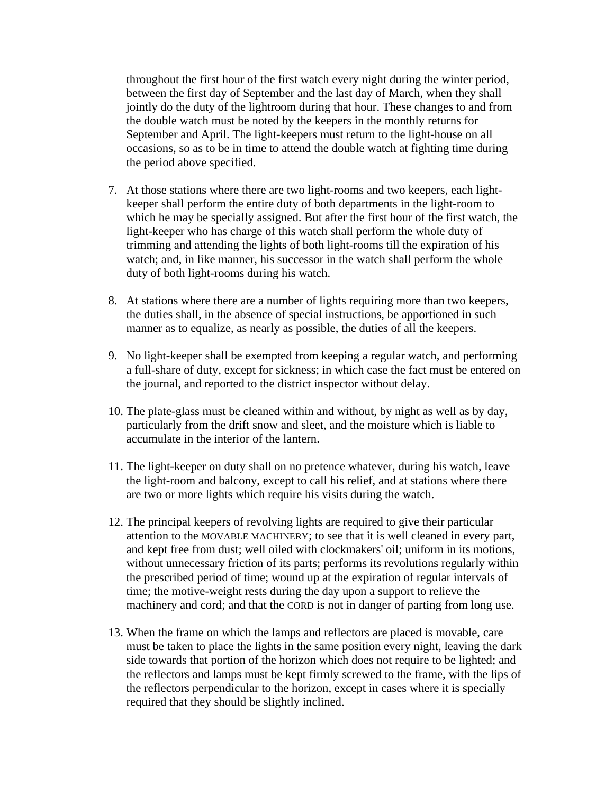throughout the first hour of the first watch every night during the winter period, between the first day of September and the last day of March, when they shall jointly do the duty of the lightroom during that hour. These changes to and from the double watch must be noted by the keepers in the monthly returns for September and April. The light-keepers must return to the light-house on all occasions, so as to be in time to attend the double watch at fighting time during the period above specified.

- 7. At those stations where there are two light-rooms and two keepers, each lightkeeper shall perform the entire duty of both departments in the light-room to which he may be specially assigned. But after the first hour of the first watch, the light-keeper who has charge of this watch shall perform the whole duty of trimming and attending the lights of both light-rooms till the expiration of his watch; and, in like manner, his successor in the watch shall perform the whole duty of both light-rooms during his watch.
- 8. At stations where there are a number of lights requiring more than two keepers, the duties shall, in the absence of special instructions, be apportioned in such manner as to equalize, as nearly as possible, the duties of all the keepers.
- 9. No light-keeper shall be exempted from keeping a regular watch, and performing a full-share of duty, except for sickness; in which case the fact must be entered on the journal, and reported to the district inspector without delay.
- 10. The plate-glass must be cleaned within and without, by night as well as by day, particularly from the drift snow and sleet, and the moisture which is liable to accumulate in the interior of the lantern.
- 11. The light-keeper on duty shall on no pretence whatever, during his watch, leave the light-room and balcony, except to call his relief, and at stations where there are two or more lights which require his visits during the watch.
- 12. The principal keepers of revolving lights are required to give their particular attention to the MOVABLE MACHINERY; to see that it is well cleaned in every part, and kept free from dust; well oiled with clockmakers' oil; uniform in its motions, without unnecessary friction of its parts; performs its revolutions regularly within the prescribed period of time; wound up at the expiration of regular intervals of time; the motive-weight rests during the day upon a support to relieve the machinery and cord; and that the CORD is not in danger of parting from long use.
- 13. When the frame on which the lamps and reflectors are placed is movable, care must be taken to place the lights in the same position every night, leaving the dark side towards that portion of the horizon which does not require to be lighted; and the reflectors and lamps must be kept firmly screwed to the frame, with the lips of the reflectors perpendicular to the horizon, except in cases where it is specially required that they should be slightly inclined.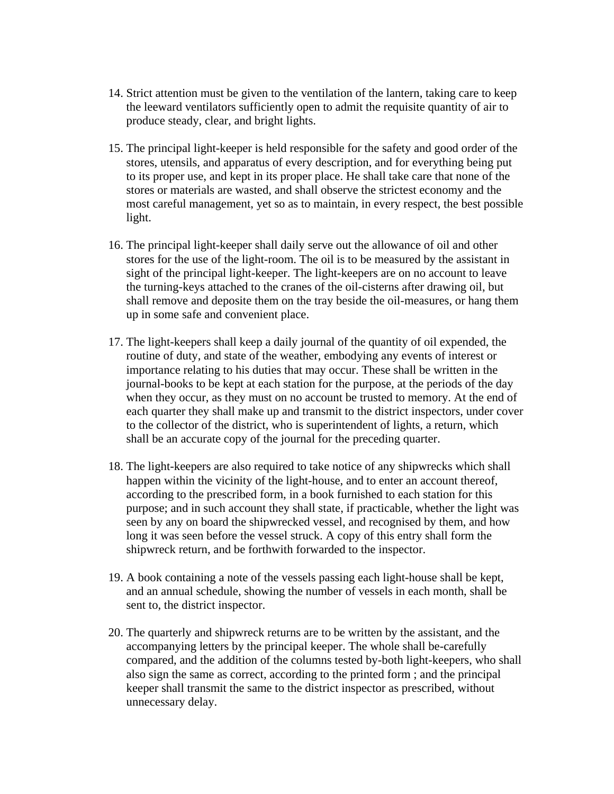- 14. Strict attention must be given to the ventilation of the lantern, taking care to keep the leeward ventilators sufficiently open to admit the requisite quantity of air to produce steady, clear, and bright lights.
- 15. The principal light-keeper is held responsible for the safety and good order of the stores, utensils, and apparatus of every description, and for everything being put to its proper use, and kept in its proper place. He shall take care that none of the stores or materials are wasted, and shall observe the strictest economy and the most careful management, yet so as to maintain, in every respect, the best possible light.
- 16. The principal light-keeper shall daily serve out the allowance of oil and other stores for the use of the light-room. The oil is to be measured by the assistant in sight of the principal light-keeper. The light-keepers are on no account to leave the turning-keys attached to the cranes of the oil-cisterns after drawing oil, but shall remove and deposite them on the tray beside the oil-measures, or hang them up in some safe and convenient place.
- 17. The light-keepers shall keep a daily journal of the quantity of oil expended, the routine of duty, and state of the weather, embodying any events of interest or importance relating to his duties that may occur. These shall be written in the journal-books to be kept at each station for the purpose, at the periods of the day when they occur, as they must on no account be trusted to memory. At the end of each quarter they shall make up and transmit to the district inspectors, under cover to the collector of the district, who is superintendent of lights, a return, which shall be an accurate copy of the journal for the preceding quarter.
- 18. The light-keepers are also required to take notice of any shipwrecks which shall happen within the vicinity of the light-house, and to enter an account thereof, according to the prescribed form, in a book furnished to each station for this purpose; and in such account they shall state, if practicable, whether the light was seen by any on board the shipwrecked vessel, and recognised by them, and how long it was seen before the vessel struck. A copy of this entry shall form the shipwreck return, and be forthwith forwarded to the inspector.
- 19. A book containing a note of the vessels passing each light-house shall be kept, and an annual schedule, showing the number of vessels in each month, shall be sent to, the district inspector.
- 20. The quarterly and shipwreck returns are to be written by the assistant, and the accompanying letters by the principal keeper. The whole shall be-carefully compared, and the addition of the columns tested by-both light-keepers, who shall also sign the same as correct, according to the printed form ; and the principal keeper shall transmit the same to the district inspector as prescribed, without unnecessary delay.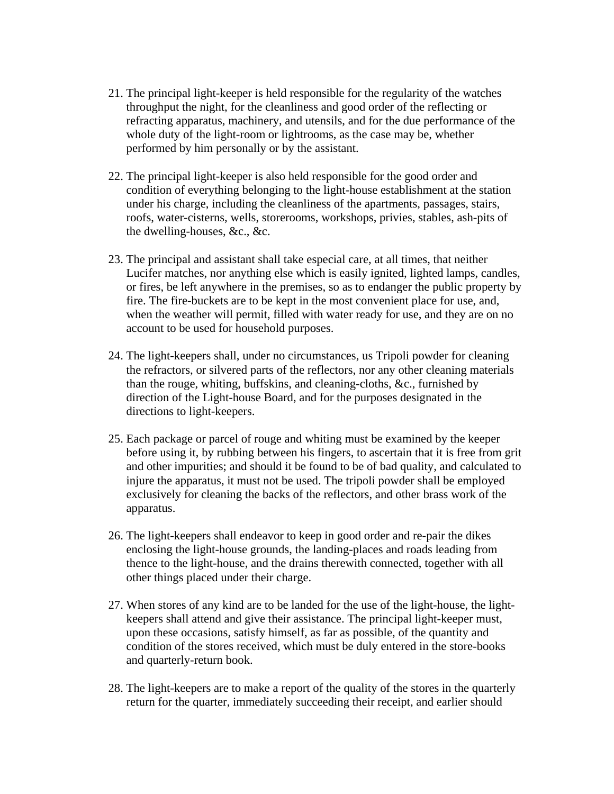- 21. The principal light-keeper is held responsible for the regularity of the watches throughput the night, for the cleanliness and good order of the reflecting or refracting apparatus, machinery, and utensils, and for the due performance of the whole duty of the light-room or lightrooms, as the case may be, whether performed by him personally or by the assistant.
- 22. The principal light-keeper is also held responsible for the good order and condition of everything belonging to the light-house establishment at the station under his charge, including the cleanliness of the apartments, passages, stairs, roofs, water-cisterns, wells, storerooms, workshops, privies, stables, ash-pits of the dwelling-houses, &c., &c.
- 23. The principal and assistant shall take especial care, at all times, that neither Lucifer matches, nor anything else which is easily ignited, lighted lamps, candles, or fires, be left anywhere in the premises, so as to endanger the public property by fire. The fire-buckets are to be kept in the most convenient place for use, and, when the weather will permit, filled with water ready for use, and they are on no account to be used for household purposes.
- 24. The light-keepers shall, under no circumstances, us Tripoli powder for cleaning the refractors, or silvered parts of the reflectors, nor any other cleaning materials than the rouge, whiting, buffskins, and cleaning-cloths, &c., furnished by direction of the Light-house Board, and for the purposes designated in the directions to light-keepers.
- 25. Each package or parcel of rouge and whiting must be examined by the keeper before using it, by rubbing between his fingers, to ascertain that it is free from grit and other impurities; and should it be found to be of bad quality, and calculated to injure the apparatus, it must not be used. The tripoli powder shall be employed exclusively for cleaning the backs of the reflectors, and other brass work of the apparatus.
- 26. The light-keepers shall endeavor to keep in good order and re-pair the dikes enclosing the light-house grounds, the landing-places and roads leading from thence to the light-house, and the drains therewith connected, together with all other things placed under their charge.
- 27. When stores of any kind are to be landed for the use of the light-house, the lightkeepers shall attend and give their assistance. The principal light-keeper must, upon these occasions, satisfy himself, as far as possible, of the quantity and condition of the stores received, which must be duly entered in the store-books and quarterly-return book.
- 28. The light-keepers are to make a report of the quality of the stores in the quarterly return for the quarter, immediately succeeding their receipt, and earlier should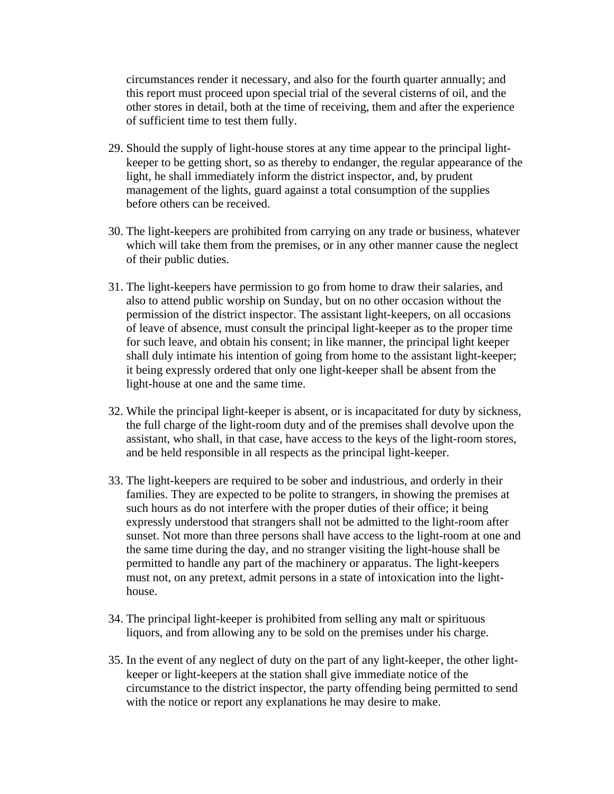circumstances render it necessary, and also for the fourth quarter annually; and this report must proceed upon special trial of the several cisterns of oil, and the other stores in detail, both at the time of receiving, them and after the experience of sufficient time to test them fully.

- 29. Should the supply of light-house stores at any time appear to the principal lightkeeper to be getting short, so as thereby to endanger, the regular appearance of the light, he shall immediately inform the district inspector, and, by prudent management of the lights, guard against a total consumption of the supplies before others can be received.
- 30. The light-keepers are prohibited from carrying on any trade or business, whatever which will take them from the premises, or in any other manner cause the neglect of their public duties.
- 31. The light-keepers have permission to go from home to draw their salaries, and also to attend public worship on Sunday, but on no other occasion without the permission of the district inspector. The assistant light-keepers, on all occasions of leave of absence, must consult the principal light-keeper as to the proper time for such leave, and obtain his consent; in like manner, the principal light keeper shall duly intimate his intention of going from home to the assistant light-keeper; it being expressly ordered that only one light-keeper shall be absent from the light-house at one and the same time.
- 32. While the principal light-keeper is absent, or is incapacitated for duty by sickness, the full charge of the light-room duty and of the premises shall devolve upon the assistant, who shall, in that case, have access to the keys of the light-room stores, and be held responsible in all respects as the principal light-keeper.
- 33. The light-keepers are required to be sober and industrious, and orderly in their families. They are expected to be polite to strangers, in showing the premises at such hours as do not interfere with the proper duties of their office; it being expressly understood that strangers shall not be admitted to the light-room after sunset. Not more than three persons shall have access to the light-room at one and the same time during the day, and no stranger visiting the light-house shall be permitted to handle any part of the machinery or apparatus. The light-keepers must not, on any pretext, admit persons in a state of intoxication into the lighthouse.
- 34. The principal light-keeper is prohibited from selling any malt or spirituous liquors, and from allowing any to be sold on the premises under his charge.
- 35. In the event of any neglect of duty on the part of any light-keeper, the other lightkeeper or light-keepers at the station shall give immediate notice of the circumstance to the district inspector, the party offending being permitted to send with the notice or report any explanations he may desire to make.